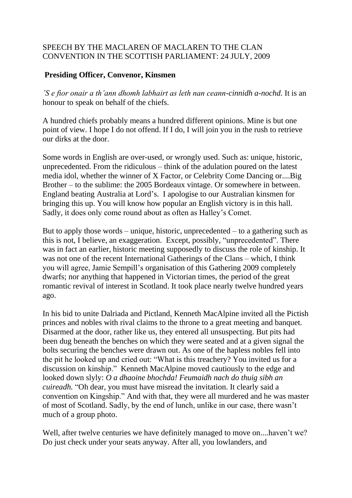## SPEECH BY THE MACLAREN OF MACLAREN TO THE CLAN CONVENTION IN THE SCOTTISH PARLIAMENT: 24 JULY, 2009

## **Presiding Officer, Convenor, Kinsmen**

*'S e fìor onair a th'ann dhomh labhairt as leth nan ceann-cinnidh a-nochd.* It is an honour to speak on behalf of the chiefs.

A hundred chiefs probably means a hundred different opinions. Mine is but one point of view. I hope I do not offend. If I do, I will join you in the rush to retrieve our dirks at the door.

Some words in English are over-used, or wrongly used. Such as: unique, historic, unprecedented. From the ridiculous – think of the adulation poured on the latest media idol, whether the winner of X Factor, or Celebrity Come Dancing or....Big Brother – to the sublime: the 2005 Bordeaux vintage. Or somewhere in between. England beating Australia at Lord's. I apologise to our Australian kinsmen for bringing this up. You will know how popular an English victory is in this hall. Sadly, it does only come round about as often as Halley's Comet.

But to apply those words – unique, historic, unprecedented – to a gathering such as this is not, I believe, an exaggeration. Except, possibly, "unprecedented". There was in fact an earlier, historic meeting supposedly to discuss the role of kinship. It was not one of the recent International Gatherings of the Clans – which, I think you will agree, Jamie Sempill's organisation of this Gathering 2009 completely dwarfs; nor anything that happened in Victorian times, the period of the great romantic revival of interest in Scotland. It took place nearly twelve hundred years ago.

In his bid to unite Dalriada and Pictland, Kenneth MacAlpine invited all the Pictish princes and nobles with rival claims to the throne to a great meeting and banquet. Disarmed at the door, rather like us, they entered all unsuspecting. But pits had been dug beneath the benches on which they were seated and at a given signal the bolts securing the benches were drawn out. As one of the hapless nobles fell into the pit he looked up and cried out: "What is this treachery? You invited us for a discussion on kinship." Kenneth MacAlpine moved cautiously to the edge and looked down slyly: *O a dhaoine bhochda! Feumaidh nach do thuig sibh an cuireadh.* "Oh dear, you must have misread the invitation. It clearly said a convention on Kingship." And with that, they were all murdered and he was master of most of Scotland. Sadly, by the end of lunch, unlike in our case, there wasn't much of a group photo.

Well, after twelve centuries we have definitely managed to move on....haven't we? Do just check under your seats anyway. After all, you lowlanders, and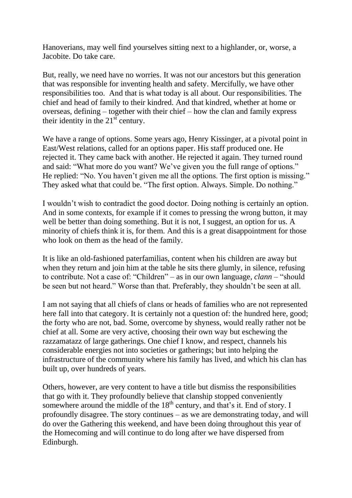Hanoverians, may well find yourselves sitting next to a highlander, or, worse, a Jacobite. Do take care.

But, really, we need have no worries. It was not our ancestors but this generation that was responsible for inventing health and safety. Mercifully, we have other responsibilities too. And that is what today is all about. Our responsibilities. The chief and head of family to their kindred. And that kindred, whether at home or overseas, defining – together with their chief – how the clan and family express their identity in the  $21<sup>st</sup>$  century.

We have a range of options. Some years ago, Henry Kissinger, at a pivotal point in East/West relations, called for an options paper. His staff produced one. He rejected it. They came back with another. He rejected it again. They turned round and said: "What more do you want? We've given you the full range of options." He replied: "No. You haven't given me all the options. The first option is missing." They asked what that could be. "The first option. Always. Simple. Do nothing."

I wouldn't wish to contradict the good doctor. Doing nothing is certainly an option. And in some contexts, for example if it comes to pressing the wrong button, it may well be better than doing something. But it is not, I suggest, an option for us. A minority of chiefs think it is, for them. And this is a great disappointment for those who look on them as the head of the family.

It is like an old-fashioned paterfamilias, content when his children are away but when they return and join him at the table he sits there glumly, in silence, refusing to contribute. Not a case of: "Children" – as in our own language, *clann* – "should be seen but not heard." Worse than that. Preferably, they shouldn't be seen at all.

I am not saying that all chiefs of clans or heads of families who are not represented here fall into that category. It is certainly not a question of: the hundred here, good; the forty who are not, bad. Some, overcome by shyness, would really rather not be chief at all. Some are very active, choosing their own way but eschewing the razzamatazz of large gatherings. One chief I know, and respect, channels his considerable energies not into societies or gatherings; but into helping the infrastructure of the community where his family has lived, and which his clan has built up, over hundreds of years.

Others, however, are very content to have a title but dismiss the responsibilities that go with it. They profoundly believe that clanship stopped conveniently somewhere around the middle of the  $18<sup>th</sup>$  century, and that's it. End of story. I profoundly disagree. The story continues – as we are demonstrating today, and will do over the Gathering this weekend, and have been doing throughout this year of the Homecoming and will continue to do long after we have dispersed from Edinburgh.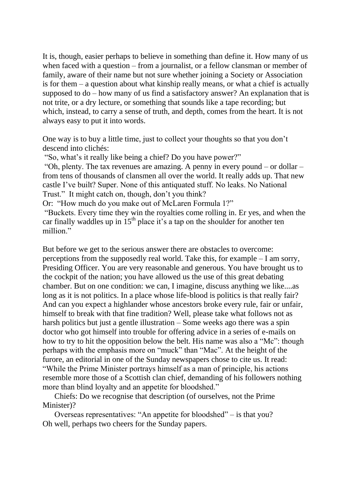It is, though, easier perhaps to believe in something than define it. How many of us when faced with a question – from a journalist, or a fellow clansman or member of family, aware of their name but not sure whether joining a Society or Association is for them – a question about what kinship really means, or what a chief is actually supposed to do – how many of us find a satisfactory answer? An explanation that is not trite, or a dry lecture, or something that sounds like a tape recording; but which, instead, to carry a sense of truth, and depth, comes from the heart. It is not always easy to put it into words.

One way is to buy a little time, just to collect your thoughts so that you don't descend into clichés:

"So, what's it really like being a chief? Do you have power?"

"Oh, plenty. The tax revenues are amazing. A penny in every pound – or dollar – from tens of thousands of clansmen all over the world. It really adds up. That new castle I've built? Super. None of this antiquated stuff. No leaks. No National Trust." It might catch on, though, don't you think?

Or: "How much do you make out of McLaren Formula 1?"

"Buckets. Every time they win the royalties come rolling in. Er yes, and when the car finally waddles up in  $15<sup>th</sup>$  place it's a tap on the shoulder for another ten million<sup>"</sup>

But before we get to the serious answer there are obstacles to overcome: perceptions from the supposedly real world. Take this, for example – I am sorry, Presiding Officer. You are very reasonable and generous. You have brought us to the cockpit of the nation; you have allowed us the use of this great debating chamber. But on one condition: we can, I imagine, discuss anything we like....as long as it is not politics. In a place whose life-blood is politics is that really fair? And can you expect a highlander whose ancestors broke every rule, fair or unfair, himself to break with that fine tradition? Well, please take what follows not as harsh politics but just a gentle illustration – Some weeks ago there was a spin doctor who got himself into trouble for offering advice in a series of e-mails on how to try to hit the opposition below the belt. His name was also a "Mc": though perhaps with the emphasis more on "muck" than "Mac". At the height of the furore, an editorial in one of the Sunday newspapers chose to cite us. It read: "While the Prime Minister portrays himself as a man of principle, his actions resemble more those of a Scottish clan chief, demanding of his followers nothing more than blind loyalty and an appetite for bloodshed."

 Chiefs: Do we recognise that description (of ourselves, not the Prime Minister)?

 Overseas representatives: "An appetite for bloodshed" – is that you? Oh well, perhaps two cheers for the Sunday papers.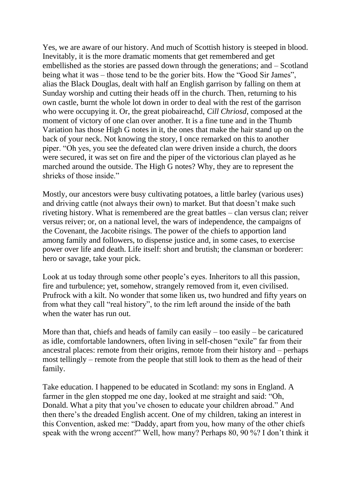Yes, we are aware of our history. And much of Scottish history is steeped in blood. Inevitably, it is the more dramatic moments that get remembered and get embellished as the stories are passed down through the generations; and – Scotland being what it was – those tend to be the gorier bits. How the "Good Sir James", alias the Black Douglas, dealt with half an English garrison by falling on them at Sunday worship and cutting their heads off in the church. Then, returning to his own castle, burnt the whole lot down in order to deal with the rest of the garrison who were occupying it. Or, the great piobaireachd, *Cill Chriosd*, composed at the moment of victory of one clan over another. It is a fine tune and in the Thumb Variation has those High G notes in it, the ones that make the hair stand up on the back of your neck. Not knowing the story, I once remarked on this to another piper. "Oh yes, you see the defeated clan were driven inside a church, the doors were secured, it was set on fire and the piper of the victorious clan played as he marched around the outside. The High G notes? Why, they are to represent the shrieks of those inside."

Mostly, our ancestors were busy cultivating potatoes, a little barley (various uses) and driving cattle (not always their own) to market. But that doesn't make such riveting history. What is remembered are the great battles – clan versus clan; reiver versus reiver; or, on a national level, the wars of independence, the campaigns of the Covenant, the Jacobite risings. The power of the chiefs to apportion land among family and followers, to dispense justice and, in some cases, to exercise power over life and death. Life itself: short and brutish; the clansman or borderer: hero or savage, take your pick.

Look at us today through some other people's eyes. Inheritors to all this passion, fire and turbulence; yet, somehow, strangely removed from it, even civilised. Prufrock with a kilt. No wonder that some liken us, two hundred and fifty years on from what they call "real history", to the rim left around the inside of the bath when the water has run out.

More than that, chiefs and heads of family can easily – too easily – be caricatured as idle, comfortable landowners, often living in self-chosen "exile" far from their ancestral places: remote from their origins, remote from their history and – perhaps most tellingly – remote from the people that still look to them as the head of their family.

Take education. I happened to be educated in Scotland: my sons in England. A farmer in the glen stopped me one day, looked at me straight and said: "Oh, Donald. What a pity that you've chosen to educate your children abroad." And then there's the dreaded English accent. One of my children, taking an interest in this Convention, asked me: "Daddy, apart from you, how many of the other chiefs speak with the wrong accent?" Well, how many? Perhaps 80, 90 %? I don't think it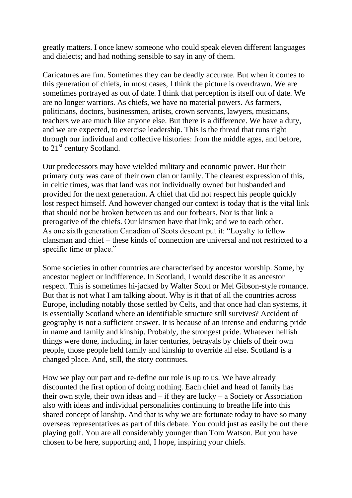greatly matters. I once knew someone who could speak eleven different languages and dialects; and had nothing sensible to say in any of them.

Caricatures are fun. Sometimes they can be deadly accurate. But when it comes to this generation of chiefs, in most cases, I think the picture is overdrawn. We are sometimes portrayed as out of date. I think that perception is itself out of date. We are no longer warriors. As chiefs, we have no material powers. As farmers, politicians, doctors, businessmen, artists, crown servants, lawyers, musicians, teachers we are much like anyone else. But there is a difference. We have a duty, and we are expected, to exercise leadership. This is the thread that runs right through our individual and collective histories: from the middle ages, and before, to  $21^{\overline{st}}$  century Scotland.

Our predecessors may have wielded military and economic power. But their primary duty was care of their own clan or family. The clearest expression of this, in celtic times, was that land was not individually owned but husbanded and provided for the next generation. A chief that did not respect his people quickly lost respect himself. And however changed our context is today that is the vital link that should not be broken between us and our forbears. Nor is that link a prerogative of the chiefs. Our kinsmen have that link; and we to each other. As one sixth generation Canadian of Scots descent put it: "Loyalty to fellow clansman and chief – these kinds of connection are universal and not restricted to a specific time or place."

Some societies in other countries are characterised by ancestor worship. Some, by ancestor neglect or indifference. In Scotland, I would describe it as ancestor respect. This is sometimes hi-jacked by Walter Scott or Mel Gibson-style romance. But that is not what I am talking about. Why is it that of all the countries across Europe, including notably those settled by Celts, and that once had clan systems, it is essentially Scotland where an identifiable structure still survives? Accident of geography is not a sufficient answer. It is because of an intense and enduring pride in name and family and kinship. Probably, the strongest pride. Whatever hellish things were done, including, in later centuries, betrayals by chiefs of their own people, those people held family and kinship to override all else. Scotland is a changed place. And, still, the story continues.

How we play our part and re-define our role is up to us. We have already discounted the first option of doing nothing. Each chief and head of family has their own style, their own ideas and  $-$  if they are lucky  $-$  a Society or Association also with ideas and individual personalities continuing to breathe life into this shared concept of kinship. And that is why we are fortunate today to have so many overseas representatives as part of this debate. You could just as easily be out there playing golf. You are all considerably younger than Tom Watson. But you have chosen to be here, supporting and, I hope, inspiring your chiefs.